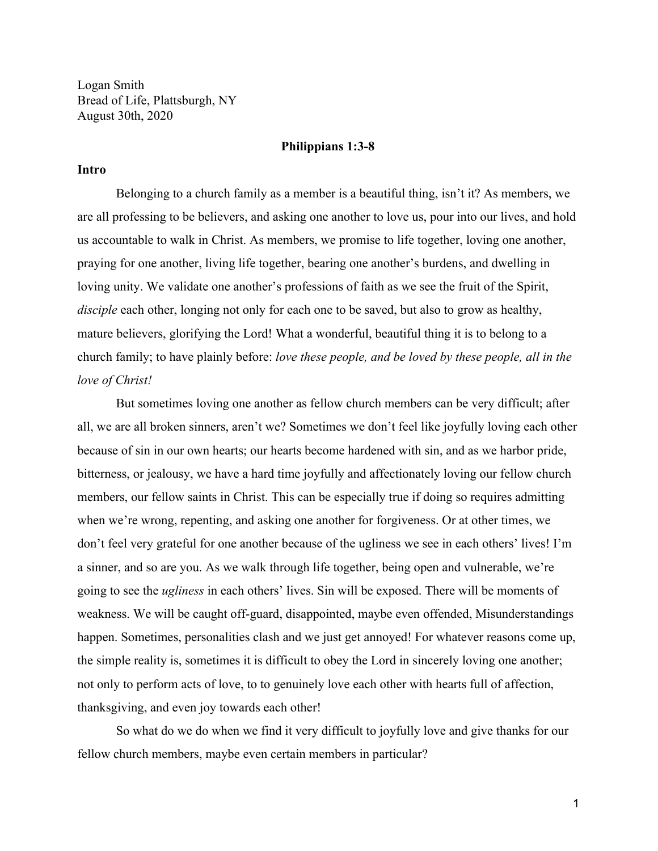Logan Smith Bread of Life, Plattsburgh, NY August 30th, 2020

### **Philippians 1:3-8**

#### **Intro**

Belonging to a church family as a member is a beautiful thing, isn't it? As members, we are all professing to be believers, and asking one another to love us, pour into our lives, and hold us accountable to walk in Christ. As members, we promise to life together, loving one another, praying for one another, living life together, bearing one another's burdens, and dwelling in loving unity. We validate one another's professions of faith as we see the fruit of the Spirit, *disciple* each other, longing not only for each one to be saved, but also to grow as healthy, mature believers, glorifying the Lord! What a wonderful, beautiful thing it is to belong to a church family; to have plainly before: *love these people, and be loved by these people, all in the love of Christ!*

But sometimes loving one another as fellow church members can be very difficult; after all, we are all broken sinners, aren't we? Sometimes we don't feel like joyfully loving each other because of sin in our own hearts; our hearts become hardened with sin, and as we harbor pride, bitterness, or jealousy, we have a hard time joyfully and affectionately loving our fellow church members, our fellow saints in Christ. This can be especially true if doing so requires admitting when we're wrong, repenting, and asking one another for forgiveness. Or at other times, we don't feel very grateful for one another because of the ugliness we see in each others' lives! I'm a sinner, and so are you. As we walk through life together, being open and vulnerable, we're going to see the *ugliness* in each others' lives. Sin will be exposed. There will be moments of weakness. We will be caught off-guard, disappointed, maybe even offended, Misunderstandings happen. Sometimes, personalities clash and we just get annoyed! For whatever reasons come up, the simple reality is, sometimes it is difficult to obey the Lord in sincerely loving one another; not only to perform acts of love, to to genuinely love each other with hearts full of affection, thanksgiving, and even joy towards each other!

So what do we do when we find it very difficult to joyfully love and give thanks for our fellow church members, maybe even certain members in particular?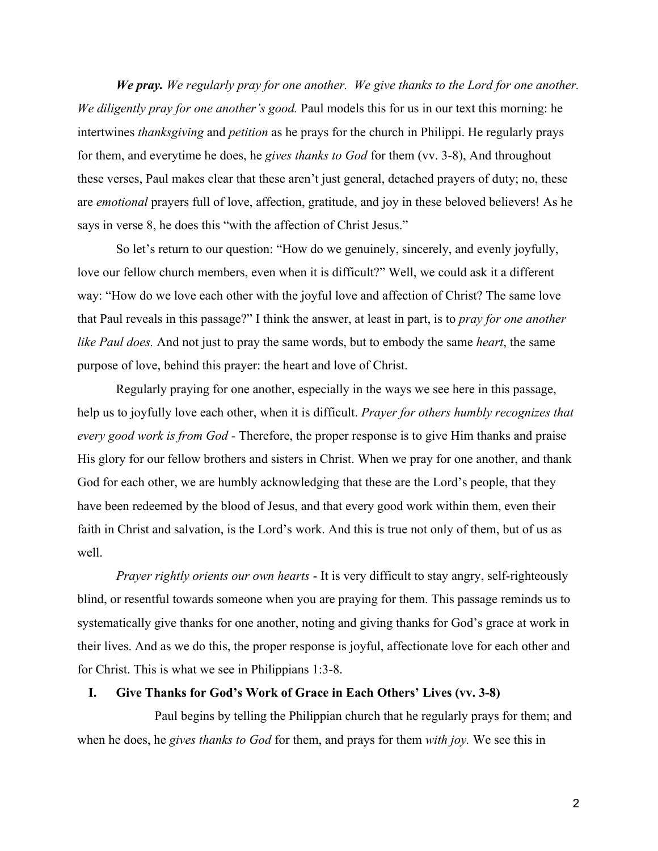*We pray. We regularly pray for one another. We give thanks to the Lord for one another. We diligently pray for one another's good.* Paul models this for us in our text this morning: he intertwines *thanksgiving* and *petition* as he prays for the church in Philippi. He regularly prays for them, and everytime he does, he *gives thanks to God* for them (vv. 3-8), And throughout these verses, Paul makes clear that these aren't just general, detached prayers of duty; no, these are *emotional* prayers full of love, affection, gratitude, and joy in these beloved believers! As he says in verse 8, he does this "with the affection of Christ Jesus."

So let's return to our question: "How do we genuinely, sincerely, and evenly joyfully, love our fellow church members, even when it is difficult?" Well, we could ask it a different way: "How do we love each other with the joyful love and affection of Christ? The same love that Paul reveals in this passage?" I think the answer, at least in part, is to *pray for one another like Paul does.* And not just to pray the same words, but to embody the same *heart*, the same purpose of love, behind this prayer: the heart and love of Christ.

Regularly praying for one another, especially in the ways we see here in this passage, help us to joyfully love each other, when it is difficult. *Prayer for others humbly recognizes that every good work is from God -* Therefore, the proper response is to give Him thanks and praise His glory for our fellow brothers and sisters in Christ. When we pray for one another, and thank God for each other, we are humbly acknowledging that these are the Lord's people, that they have been redeemed by the blood of Jesus, and that every good work within them, even their faith in Christ and salvation, is the Lord's work. And this is true not only of them, but of us as well.

*Prayer rightly orients our own hearts* - It is very difficult to stay angry, self-righteously blind, or resentful towards someone when you are praying for them. This passage reminds us to systematically give thanks for one another, noting and giving thanks for God's grace at work in their lives. And as we do this, the proper response is joyful, affectionate love for each other and for Christ. This is what we see in Philippians 1:3-8.

# **I. Give Thanks for God's Work of Grace in Each Others' Lives (vv. 3-8)**

Paul begins by telling the Philippian church that he regularly prays for them; and when he does, he *gives thanks to God* for them, and prays for them *with joy.* We see this in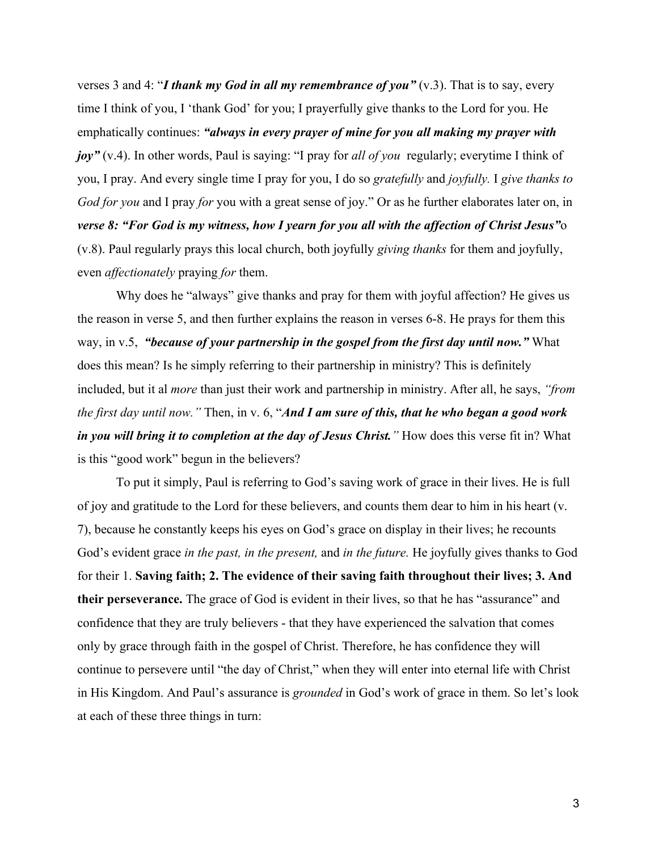verses 3 and 4: "*I thank my God in all my remembrance of you"* (v.3). That is to say, every time I think of you, I 'thank God' for you; I prayerfully give thanks to the Lord for you. He emphatically continues: *"always in every prayer of mine for you all making my prayer with joy"* (v.4). In other words, Paul is saying: "I pray for *all of you* regularly; everytime I think of you, I pray. And every single time I pray for you, I do so *gratefully* and *joyfully.* I *give thanks to God for you* and I pray *for* you with a great sense of joy." Or as he further elaborates later on, in *verse 8: "For God is my witness, how I yearn for you all with the affection of Christ Jesus"*o (v.8). Paul regularly prays this local church, both joyfully *giving thanks* for them and joyfully, even *affectionately* praying *for* them.

Why does he "always" give thanks and pray for them with joyful affection? He gives us the reason in verse 5, and then further explains the reason in verses 6-8. He prays for them this way, in v.5, *"because of your partnership in the gospel from the first day until now."* What does this mean? Is he simply referring to their partnership in ministry? This is definitely included, but it al *more* than just their work and partnership in ministry. After all, he says, *"from the first day until now."* Then, in v. 6, "*And I am sure of this, that he who began a good work in you will bring it to completion at the day of Jesus Christ.* " How does this verse fit in? What is this "good work" begun in the believers?

To put it simply, Paul is referring to God's saving work of grace in their lives. He is full of joy and gratitude to the Lord for these believers, and counts them dear to him in his heart (v. 7), because he constantly keeps his eyes on God's grace on display in their lives; he recounts God's evident grace *in the past, in the present,* and *in the future.* He joyfully gives thanks to God for their 1. **Saving faith; 2. The evidence of their saving faith throughout their lives; 3. And their perseverance.** The grace of God is evident in their lives, so that he has "assurance" and confidence that they are truly believers - that they have experienced the salvation that comes only by grace through faith in the gospel of Christ. Therefore, he has confidence they will continue to persevere until "the day of Christ," when they will enter into eternal life with Christ in His Kingdom. And Paul's assurance is *grounded* in God's work of grace in them. So let's look at each of these three things in turn: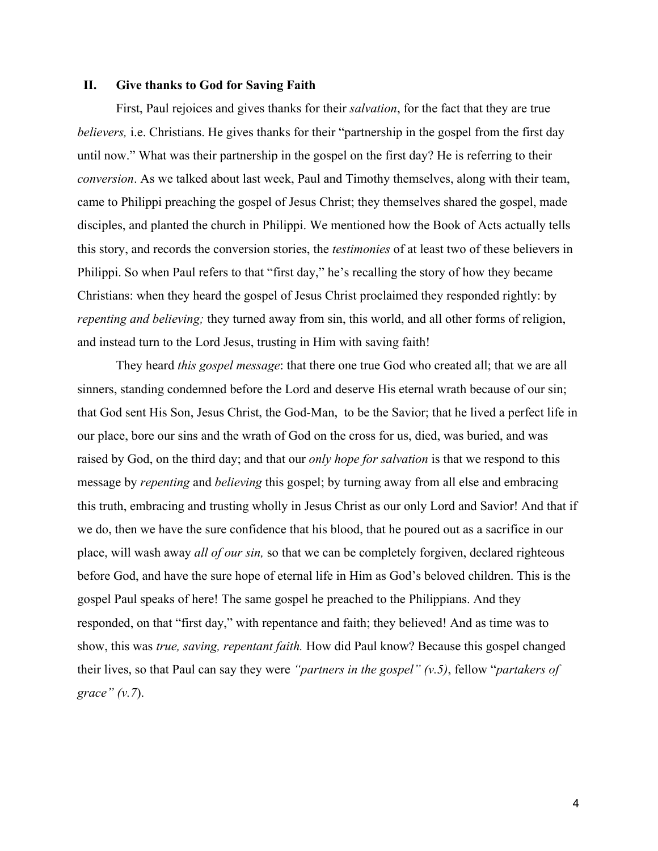### **II. Give thanks to God for Saving Faith**

First, Paul rejoices and gives thanks for their *salvation*, for the fact that they are true *believers,* i.e. Christians. He gives thanks for their "partnership in the gospel from the first day until now." What was their partnership in the gospel on the first day? He is referring to their *conversion*. As we talked about last week, Paul and Timothy themselves, along with their team, came to Philippi preaching the gospel of Jesus Christ; they themselves shared the gospel, made disciples, and planted the church in Philippi. We mentioned how the Book of Acts actually tells this story, and records the conversion stories, the *testimonies* of at least two of these believers in Philippi. So when Paul refers to that "first day," he's recalling the story of how they became Christians: when they heard the gospel of Jesus Christ proclaimed they responded rightly: by *repenting and believing;* they turned away from sin, this world, and all other forms of religion, and instead turn to the Lord Jesus, trusting in Him with saving faith!

They heard *this gospel message*: that there one true God who created all; that we are all sinners, standing condemned before the Lord and deserve His eternal wrath because of our sin; that God sent His Son, Jesus Christ, the God-Man, to be the Savior; that he lived a perfect life in our place, bore our sins and the wrath of God on the cross for us, died, was buried, and was raised by God, on the third day; and that our *only hope for salvation* is that we respond to this message by *repenting* and *believing* this gospel; by turning away from all else and embracing this truth, embracing and trusting wholly in Jesus Christ as our only Lord and Savior! And that if we do, then we have the sure confidence that his blood, that he poured out as a sacrifice in our place, will wash away *all of our sin,* so that we can be completely forgiven, declared righteous before God, and have the sure hope of eternal life in Him as God's beloved children. This is the gospel Paul speaks of here! The same gospel he preached to the Philippians. And they responded, on that "first day," with repentance and faith; they believed! And as time was to show, this was *true, saving, repentant faith.* How did Paul know? Because this gospel changed their lives, so that Paul can say they were *"partners in the gospel" (v.5)*, fellow "*partakers of grace" (v.7*).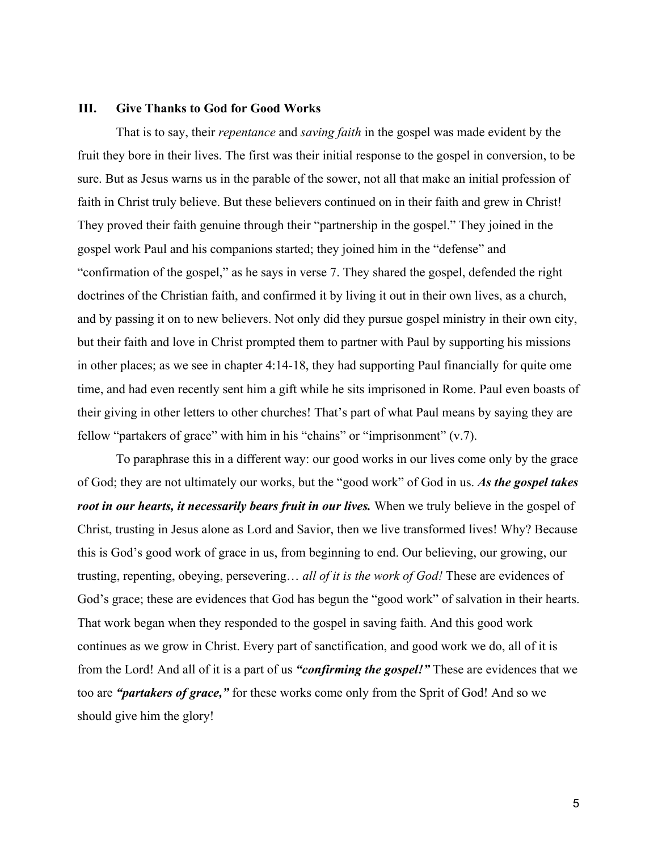## **III. Give Thanks to God for Good Works**

That is to say, their *repentance* and *saving faith* in the gospel was made evident by the fruit they bore in their lives. The first was their initial response to the gospel in conversion, to be sure. But as Jesus warns us in the parable of the sower, not all that make an initial profession of faith in Christ truly believe. But these believers continued on in their faith and grew in Christ! They proved their faith genuine through their "partnership in the gospel." They joined in the gospel work Paul and his companions started; they joined him in the "defense" and "confirmation of the gospel," as he says in verse 7. They shared the gospel, defended the right doctrines of the Christian faith, and confirmed it by living it out in their own lives, as a church, and by passing it on to new believers. Not only did they pursue gospel ministry in their own city, but their faith and love in Christ prompted them to partner with Paul by supporting his missions in other places; as we see in chapter 4:14-18, they had supporting Paul financially for quite ome time, and had even recently sent him a gift while he sits imprisoned in Rome. Paul even boasts of their giving in other letters to other churches! That's part of what Paul means by saying they are fellow "partakers of grace" with him in his "chains" or "imprisonment" (v.7).

To paraphrase this in a different way: our good works in our lives come only by the grace of God; they are not ultimately our works, but the "good work" of God in us. *As the gospel takes root in our hearts, it necessarily bears fruit in our lives.* When we truly believe in the gospel of Christ, trusting in Jesus alone as Lord and Savior, then we live transformed lives! Why? Because this is God's good work of grace in us, from beginning to end. Our believing, our growing, our trusting, repenting, obeying, persevering… *all of it is the work of God!* These are evidences of God's grace; these are evidences that God has begun the "good work" of salvation in their hearts. That work began when they responded to the gospel in saving faith. And this good work continues as we grow in Christ. Every part of sanctification, and good work we do, all of it is from the Lord! And all of it is a part of us *"confirming the gospel!"* These are evidences that we too are *"partakers of grace,"* for these works come only from the Sprit of God! And so we should give him the glory!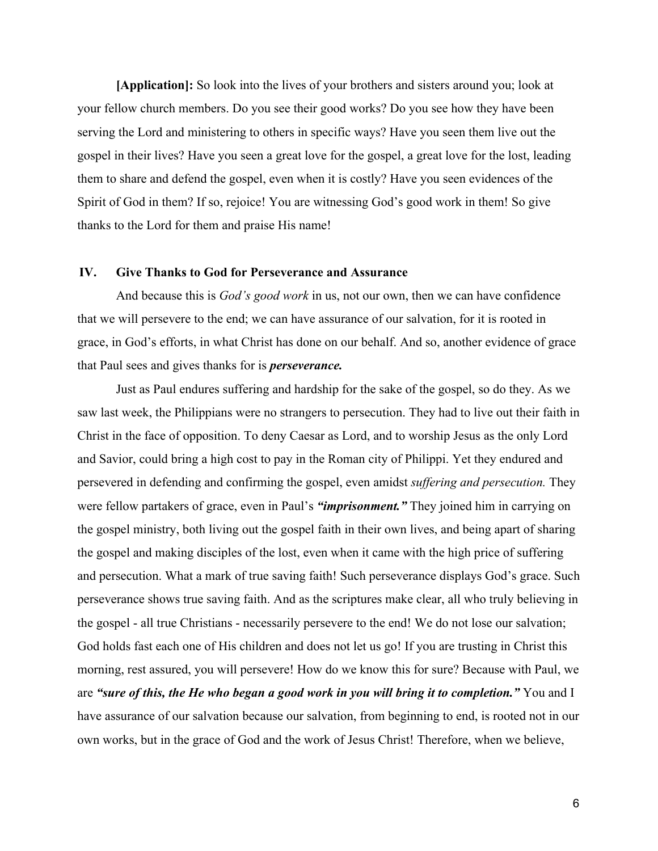**[Application]:** So look into the lives of your brothers and sisters around you; look at your fellow church members. Do you see their good works? Do you see how they have been serving the Lord and ministering to others in specific ways? Have you seen them live out the gospel in their lives? Have you seen a great love for the gospel, a great love for the lost, leading them to share and defend the gospel, even when it is costly? Have you seen evidences of the Spirit of God in them? If so, rejoice! You are witnessing God's good work in them! So give thanks to the Lord for them and praise His name!

# **IV. Give Thanks to God for Perseverance and Assurance**

And because this is *God's good work* in us, not our own, then we can have confidence that we will persevere to the end; we can have assurance of our salvation, for it is rooted in grace, in God's efforts, in what Christ has done on our behalf. And so, another evidence of grace that Paul sees and gives thanks for is *perseverance.*

Just as Paul endures suffering and hardship for the sake of the gospel, so do they. As we saw last week, the Philippians were no strangers to persecution. They had to live out their faith in Christ in the face of opposition. To deny Caesar as Lord, and to worship Jesus as the only Lord and Savior, could bring a high cost to pay in the Roman city of Philippi. Yet they endured and persevered in defending and confirming the gospel, even amidst *suffering and persecution.* They were fellow partakers of grace, even in Paul's *"imprisonment."* They joined him in carrying on the gospel ministry, both living out the gospel faith in their own lives, and being apart of sharing the gospel and making disciples of the lost, even when it came with the high price of suffering and persecution. What a mark of true saving faith! Such perseverance displays God's grace. Such perseverance shows true saving faith. And as the scriptures make clear, all who truly believing in the gospel - all true Christians - necessarily persevere to the end! We do not lose our salvation; God holds fast each one of His children and does not let us go! If you are trusting in Christ this morning, rest assured, you will persevere! How do we know this for sure? Because with Paul, we are *"sure of this, the He who began a good work in you will bring it to completion."* You and I have assurance of our salvation because our salvation, from beginning to end, is rooted not in our own works, but in the grace of God and the work of Jesus Christ! Therefore, when we believe,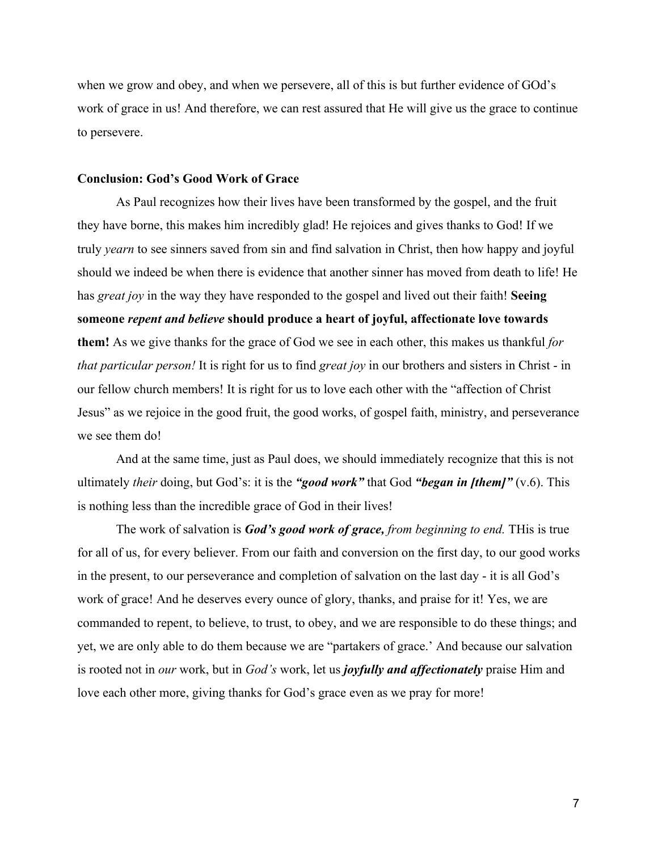when we grow and obey, and when we persevere, all of this is but further evidence of GOd's work of grace in us! And therefore, we can rest assured that He will give us the grace to continue to persevere.

## **Conclusion: God's Good Work of Grace**

As Paul recognizes how their lives have been transformed by the gospel, and the fruit they have borne, this makes him incredibly glad! He rejoices and gives thanks to God! If we truly *yearn* to see sinners saved from sin and find salvation in Christ, then how happy and joyful should we indeed be when there is evidence that another sinner has moved from death to life! He has *great joy* in the way they have responded to the gospel and lived out their faith! **Seeing someone** *repent and believe* **should produce a heart of joyful, affectionate love towards them!** As we give thanks for the grace of God we see in each other, this makes us thankful *for that particular person!* It is right for us to find *great joy* in our brothers and sisters in Christ - in our fellow church members! It is right for us to love each other with the "affection of Christ Jesus" as we rejoice in the good fruit, the good works, of gospel faith, ministry, and perseverance we see them do!

And at the same time, just as Paul does, we should immediately recognize that this is not ultimately *their* doing, but God's: it is the *"good work"* that God *"began in [them]"* (v.6). This is nothing less than the incredible grace of God in their lives!

The work of salvation is *God's good work of grace, from beginning to end.* THis is true for all of us, for every believer. From our faith and conversion on the first day, to our good works in the present, to our perseverance and completion of salvation on the last day - it is all God's work of grace! And he deserves every ounce of glory, thanks, and praise for it! Yes, we are commanded to repent, to believe, to trust, to obey, and we are responsible to do these things; and yet, we are only able to do them because we are "partakers of grace.' And because our salvation is rooted not in *our* work, but in *God's* work, let us *joyfully and affectionately* praise Him and love each other more, giving thanks for God's grace even as we pray for more!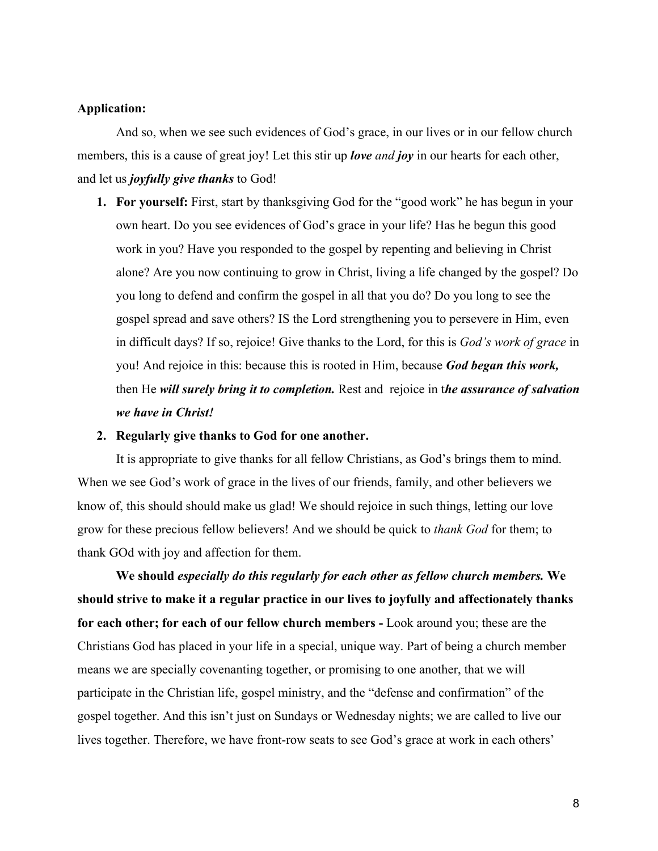## **Application:**

And so, when we see such evidences of God's grace, in our lives or in our fellow church members, this is a cause of great joy! Let this stir up *love and joy* in our hearts for each other, and let us *joyfully give thanks* to God!

**1. For yourself:** First, start by thanksgiving God for the "good work" he has begun in your own heart. Do you see evidences of God's grace in your life? Has he begun this good work in you? Have you responded to the gospel by repenting and believing in Christ alone? Are you now continuing to grow in Christ, living a life changed by the gospel? Do you long to defend and confirm the gospel in all that you do? Do you long to see the gospel spread and save others? IS the Lord strengthening you to persevere in Him, even in difficult days? If so, rejoice! Give thanks to the Lord, for this is *God's work of grace* in you! And rejoice in this: because this is rooted in Him, because *God began this work,* then He *will surely bring it to completion.* Rest and rejoice in t*he assurance of salvation we have in Christ!*

#### **2. Regularly give thanks to God for one another.**

It is appropriate to give thanks for all fellow Christians, as God's brings them to mind. When we see God's work of grace in the lives of our friends, family, and other believers we know of, this should should make us glad! We should rejoice in such things, letting our love grow for these precious fellow believers! And we should be quick to *thank God* for them; to thank GOd with joy and affection for them.

**We should** *especially do this regularly for each other as fellow church members.* **We should strive to make it a regular practice in our lives to joyfully and affectionately thanks for each other; for each of our fellow church members -** Look around you; these are the Christians God has placed in your life in a special, unique way. Part of being a church member means we are specially covenanting together, or promising to one another, that we will participate in the Christian life, gospel ministry, and the "defense and confirmation" of the gospel together. And this isn't just on Sundays or Wednesday nights; we are called to live our lives together. Therefore, we have front-row seats to see God's grace at work in each others'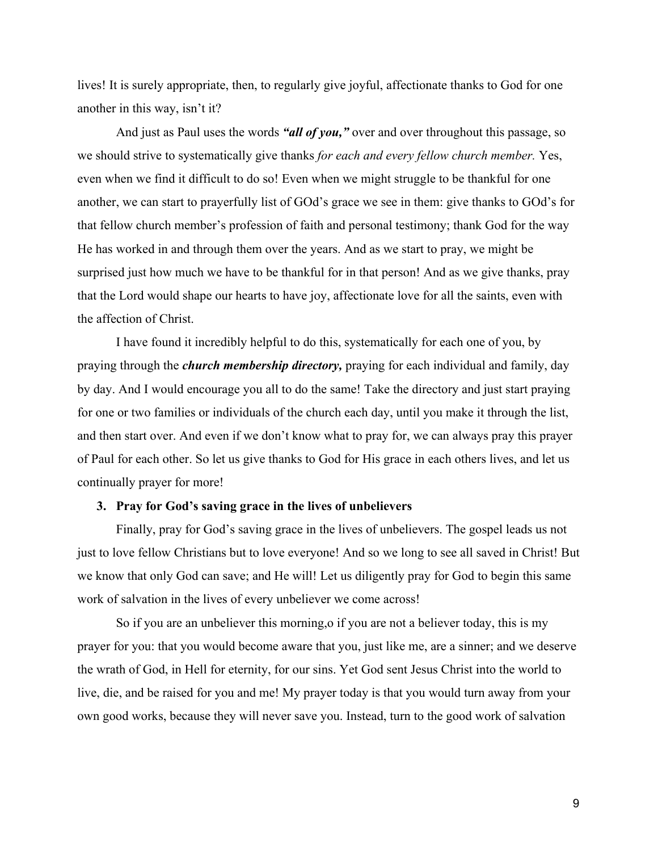lives! It is surely appropriate, then, to regularly give joyful, affectionate thanks to God for one another in this way, isn't it?

And just as Paul uses the words *"all of you,"* over and over throughout this passage, so we should strive to systematically give thanks *for each and every fellow church member.* Yes, even when we find it difficult to do so! Even when we might struggle to be thankful for one another, we can start to prayerfully list of GOd's grace we see in them: give thanks to GOd's for that fellow church member's profession of faith and personal testimony; thank God for the way He has worked in and through them over the years. And as we start to pray, we might be surprised just how much we have to be thankful for in that person! And as we give thanks, pray that the Lord would shape our hearts to have joy, affectionate love for all the saints, even with the affection of Christ.

I have found it incredibly helpful to do this, systematically for each one of you, by praying through the *church membership directory,* praying for each individual and family, day by day. And I would encourage you all to do the same! Take the directory and just start praying for one or two families or individuals of the church each day, until you make it through the list, and then start over. And even if we don't know what to pray for, we can always pray this prayer of Paul for each other. So let us give thanks to God for His grace in each others lives, and let us continually prayer for more!

### **3. Pray for God's saving grace in the lives of unbelievers**

Finally, pray for God's saving grace in the lives of unbelievers. The gospel leads us not just to love fellow Christians but to love everyone! And so we long to see all saved in Christ! But we know that only God can save; and He will! Let us diligently pray for God to begin this same work of salvation in the lives of every unbeliever we come across!

So if you are an unbeliever this morning,o if you are not a believer today, this is my prayer for you: that you would become aware that you, just like me, are a sinner; and we deserve the wrath of God, in Hell for eternity, for our sins. Yet God sent Jesus Christ into the world to live, die, and be raised for you and me! My prayer today is that you would turn away from your own good works, because they will never save you. Instead, turn to the good work of salvation